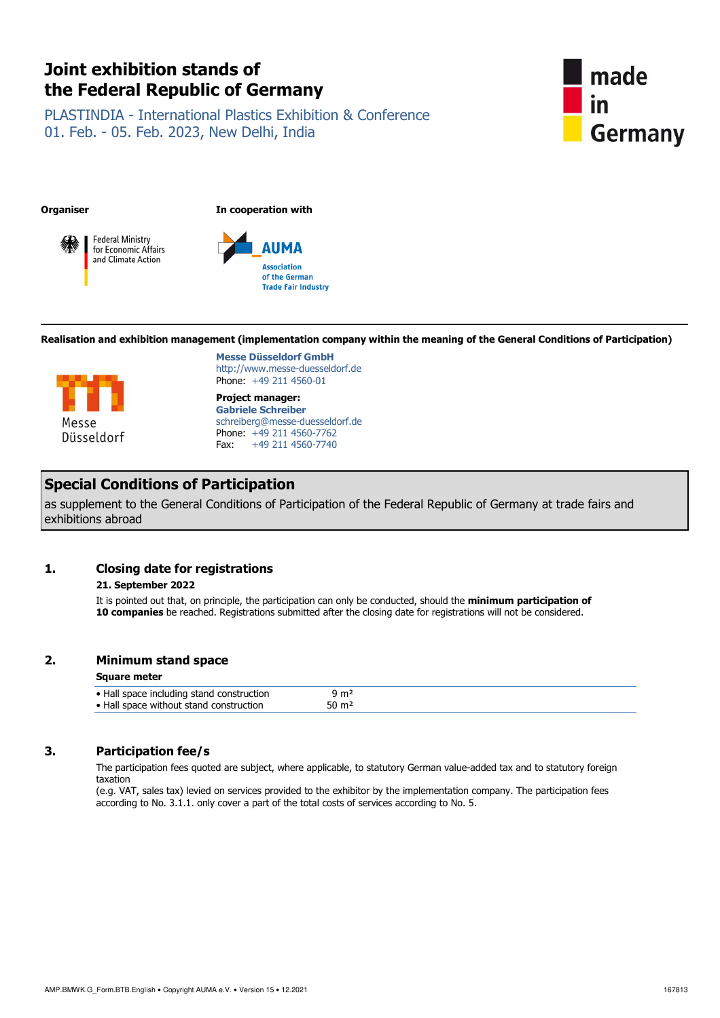# **Joint exhibition stands of the Federal Republic of Germany**

PLASTINDIA - International Plastics Exhibition & Conference 01. Feb. - 05. Feb. 2023, New Delhi, India



**Organiser In cooperation with**





**Realisation and exhibition management (implementation company within the meaning of the General Conditions of Participation)**



**Messe Düsseldorf GmbH** http://www.messe-duesseldorf.de Phone: +49 211 4560-01

**Project manager: Gabriele Schreiber**  schreiberg@messe-duesseldorf.de Phone: +49 211 4560-7762<br>Fax: +49 211 4560-7740 Fax: +49 211 4560-7740

## **Special Conditions of Participation**

as supplement to the General Conditions of Participation of the Federal Republic of Germany at trade fairs and exhibitions abroad

## **1. Closing date for registrations**

## **21. September 2022**

 It is pointed out that, on principle, the participation can only be conducted, should the **minimum participation of 10 companies** be reached. Registrations submitted after the closing date for registrations will not be considered.

## **2. Minimum stand space**

## **Square meter**

## **3. Participation fee/s**

 The participation fees quoted are subject, where applicable, to statutory German value-added tax and to statutory foreign taxation

(e.g. VAT, sales tax) levied on services provided to the exhibitor by the implementation company. The participation fees according to No. 3.1.1. only cover a part of the total costs of services according to No. 5.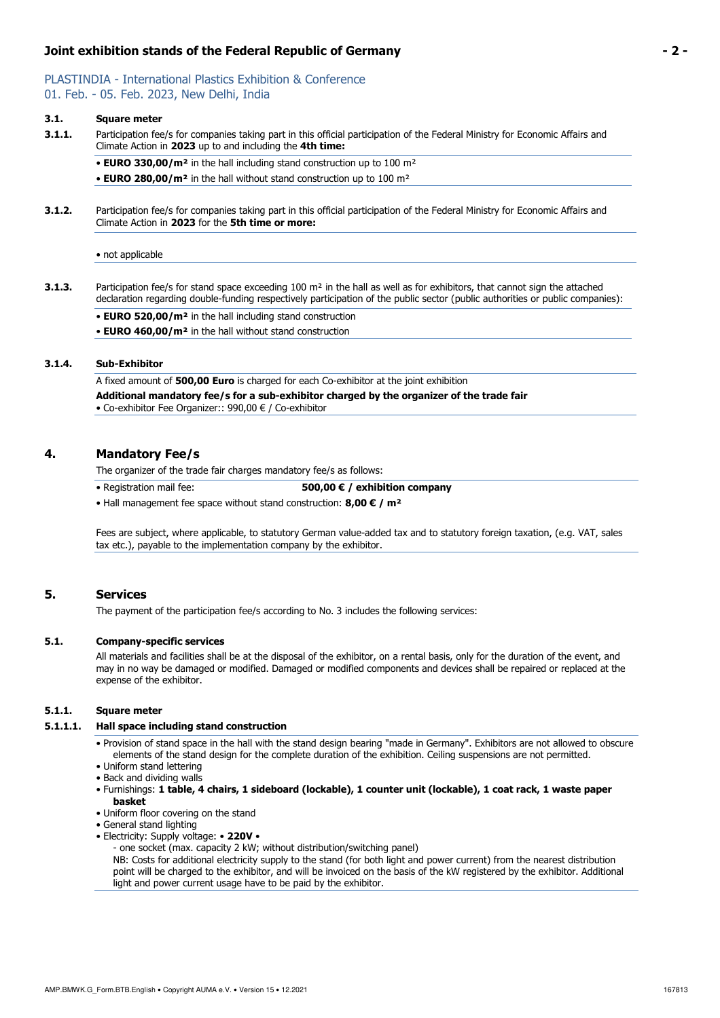## **Joint exhibition stands of the Federal Republic of Germany - 2 -**

# PLASTINDIA - International Plastics Exhibition & Conference

01. Feb. - 05. Feb. 2023, New Delhi, India

## **3.1. Square meter**

**3.1.1.** Participation fee/s for companies taking part in this official participation of the Federal Ministry for Economic Affairs and Climate Action in **2023** up to and including the **4th time:**

• **EURO 330,00/m²** in the hall including stand construction up to 100 m² • **EURO 280,00/m²** in the hall without stand construction up to 100 m²

**3.1.2.** Participation fee/s for companies taking part in this official participation of the Federal Ministry for Economic Affairs and Climate Action in **2023** for the **5th time or more:**

• not applicable

**3.1.3.** Participation fee/s for stand space exceeding 100 m<sup>2</sup> in the hall as well as for exhibitors, that cannot sign the attached declaration regarding double-funding respectively participation of the public sector (public authorities or public companies):

• **EURO 520,00/m²** in the hall including stand construction

• **EURO 460,00/m²** in the hall without stand construction

## **3.1.4. Sub-Exhibitor**

A fixed amount of **500,00 Euro** is charged for each Co-exhibitor at the joint exhibition **Additional mandatory fee/s for a sub-exhibitor charged by the organizer of the trade fair**  • Co-exhibitor Fee Organizer:: 990,00 € / Co-exhibitor

## **4. Mandatory Fee/s**

The organizer of the trade fair charges mandatory fee/s as follows:

• Registration mail fee: **500,00 € / exhibition company**

• Hall management fee space without stand construction: **8,00 € / m²**

Fees are subject, where applicable, to statutory German value-added tax and to statutory foreign taxation, (e.g. VAT, sales tax etc.), payable to the implementation company by the exhibitor.

## **5. Services**

The payment of the participation fee/s according to No. 3 includes the following services:

## **5.1. Company-specific services**

 All materials and facilities shall be at the disposal of the exhibitor, on a rental basis, only for the duration of the event, and may in no way be damaged or modified. Damaged or modified components and devices shall be repaired or replaced at the expense of the exhibitor.

## **5.1.1. Square meter**

#### **5.1.1.1. Hall space including stand construction**

- Provision of stand space in the hall with the stand design bearing "made in Germany". Exhibitors are not allowed to obscure elements of the stand design for the complete duration of the exhibition. Ceiling suspensions are not permitted.
- Uniform stand lettering
- Back and dividing walls
- Furnishings: **1 table, 4 chairs, 1 sideboard (lockable), 1 counter unit (lockable), 1 coat rack, 1 waste paper basket**
- Uniform floor covering on the stand
- General stand lighting
- Electricity: Supply voltage: **220V** 
	- one socket (max. capacity 2 kW; without distribution/switching panel)

NB: Costs for additional electricity supply to the stand (for both light and power current) from the nearest distribution point will be charged to the exhibitor, and will be invoiced on the basis of the kW registered by the exhibitor. Additional light and power current usage have to be paid by the exhibitor.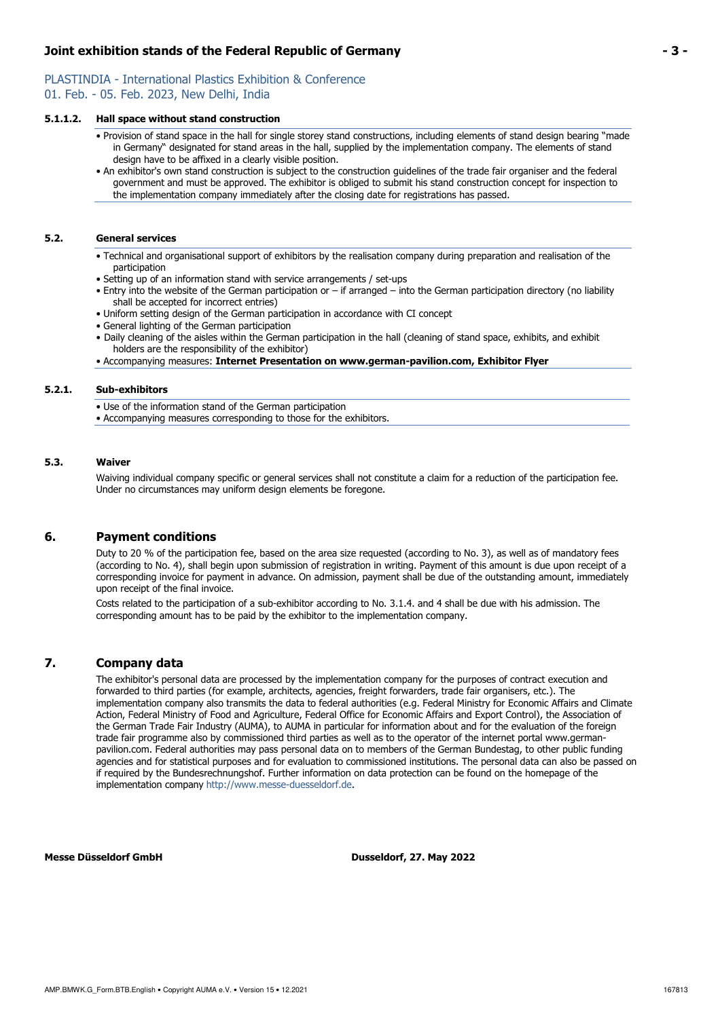## PLASTINDIA - International Plastics Exhibition & Conference 01. Feb. - 05. Feb. 2023, New Delhi, India

## **5.1.1.2. Hall space without stand construction**

- Provision of stand space in the hall for single storey stand constructions, including elements of stand design bearing "made in Germany" designated for stand areas in the hall, supplied by the implementation company. The elements of stand design have to be affixed in a clearly visible position.
- An exhibitor's own stand construction is subject to the construction guidelines of the trade fair organiser and the federal government and must be approved. The exhibitor is obliged to submit his stand construction concept for inspection to the implementation company immediately after the closing date for registrations has passed.

## **5.2. General services**

- Technical and organisational support of exhibitors by the realisation company during preparation and realisation of the participation
- Setting up of an information stand with service arrangements / set-ups
- Entry into the website of the German participation or if arranged into the German participation directory (no liability shall be accepted for incorrect entries)
- Uniform setting design of the German participation in accordance with CI concept
- General lighting of the German participation
- Daily cleaning of the aisles within the German participation in the hall (cleaning of stand space, exhibits, and exhibit holders are the responsibility of the exhibitor)
- Accompanying measures: **Internet Presentation on www.german-pavilion.com, Exhibitor Flyer**

## **5.2.1. Sub-exhibitors**

- Use of the information stand of the German participation
- Accompanying measures corresponding to those for the exhibitors.

### **5.3. Waiver**

 Waiving individual company specific or general services shall not constitute a claim for a reduction of the participation fee. Under no circumstances may uniform design elements be foregone.

## **6. Payment conditions**

 Duty to 20 % of the participation fee, based on the area size requested (according to No. 3), as well as of mandatory fees (according to No. 4), shall begin upon submission of registration in writing. Payment of this amount is due upon receipt of a corresponding invoice for payment in advance. On admission, payment shall be due of the outstanding amount, immediately upon receipt of the final invoice.

Costs related to the participation of a sub-exhibitor according to No. 3.1.4. and 4 shall be due with his admission. The corresponding amount has to be paid by the exhibitor to the implementation company.

## **7. Company data**

 The exhibitor's personal data are processed by the implementation company for the purposes of contract execution and forwarded to third parties (for example, architects, agencies, freight forwarders, trade fair organisers, etc.). The implementation company also transmits the data to federal authorities (e.g. Federal Ministry for Economic Affairs and Climate Action, Federal Ministry of Food and Agriculture, Federal Office for Economic Affairs and Export Control), the Association of the German Trade Fair Industry (AUMA), to AUMA in particular for information about and for the evaluation of the foreign trade fair programme also by commissioned third parties as well as to the operator of the internet portal www.germanpavilion.com. Federal authorities may pass personal data on to members of the German Bundestag, to other public funding agencies and for statistical purposes and for evaluation to commissioned institutions. The personal data can also be passed on if required by the Bundesrechnungshof. Further information on data protection can be found on the homepage of the implementation company http://www.messe-duesseldorf.de.

**Messe Düsseldorf GmbH Dusseldorf, 27. May 2022**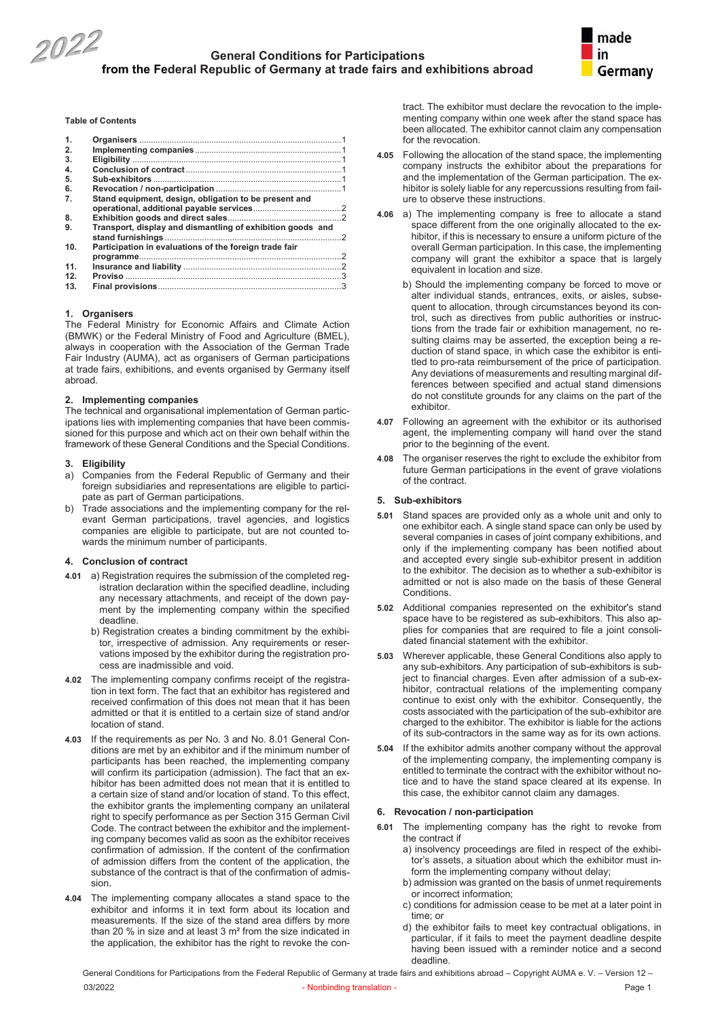



**Table of Contents**

| $\mathbf{1}$ |                                                            |   |
|--------------|------------------------------------------------------------|---|
| 2.           |                                                            |   |
| 3.           |                                                            |   |
| 4.           |                                                            |   |
| 5.           |                                                            |   |
| 6.           |                                                            |   |
| 7.           | Stand equipment, design, obligation to be present and      |   |
| 8.           |                                                            |   |
| 9.           | Transport, display and dismantling of exhibition goods and | 2 |
| 10.          | Participation in evaluations of the foreign trade fair     |   |
|              |                                                            |   |
| 11.          |                                                            |   |
| 12.          |                                                            |   |
| 13.          |                                                            |   |
|              |                                                            |   |

#### **1. Organisers**

The Federal Ministry for Economic Affairs and Climate Action (BMWK) or the Federal Ministry of Food and Agriculture (BMEL), always in cooperation with the Association of the German Trade Fair Industry (AUMA), act as organisers of German participations at trade fairs, exhibitions, and events organised by Germany itself abroad.

#### **2. Implementing companies**

The technical and organisational implementation of German participations lies with implementing companies that have been commissioned for this purpose and which act on their own behalf within the framework of these General Conditions and the Special Conditions.

#### **3. Eligibility**

- a) Companies from the Federal Republic of Germany and their foreign subsidiaries and representations are eligible to participate as part of German participations.
- Trade associations and the implementing company for the relevant German participations, travel agencies, and logistics companies are eligible to participate, but are not counted towards the minimum number of participants.

#### **4. Conclusion of contract**

- **4.01** a) Registration requires the submission of the completed registration declaration within the specified deadline, including any necessary attachments, and receipt of the down payment by the implementing company within the specified deadline.
	- b) Registration creates a binding commitment by the exhibitor, irrespective of admission. Any requirements or reservations imposed by the exhibitor during the registration process are inadmissible and void.
- **4.02** The implementing company confirms receipt of the registration in text form. The fact that an exhibitor has registered and received confirmation of this does not mean that it has been admitted or that it is entitled to a certain size of stand and/or location of stand.
- **4.03** If the requirements as per No. 3 and No. 8.01 General Conditions are met by an exhibitor and if the minimum number of participants has been reached, the implementing company will confirm its participation (admission). The fact that an exhibitor has been admitted does not mean that it is entitled to a certain size of stand and/or location of stand. To this effect, the exhibitor grants the implementing company an unilateral right to specify performance as per Section 315 German Civil Code. The contract between the exhibitor and the implementing company becomes valid as soon as the exhibitor receives confirmation of admission. If the content of the confirmation of admission differs from the content of the application, the substance of the contract is that of the confirmation of admission.
- **4.04** The implementing company allocates a stand space to the exhibitor and informs it in text form about its location and measurements. If the size of the stand area differs by more than 20 % in size and at least 3 m² from the size indicated in the application, the exhibitor has the right to revoke the con-

tract. The exhibitor must declare the revocation to the implementing company within one week after the stand space has been allocated. The exhibitor cannot claim any compensation for the revocation.

- **4.05** Following the allocation of the stand space, the implementing company instructs the exhibitor about the preparations for and the implementation of the German participation. The exhibitor is solely liable for any repercussions resulting from failure to observe these instructions.
- **4.06** a) The implementing company is free to allocate a stand space different from the one originally allocated to the exhibitor, if this is necessary to ensure a uniform picture of the overall German participation. In this case, the implementing company will grant the exhibitor a space that is largely equivalent in location and size.
	- b) Should the implementing company be forced to move or alter individual stands, entrances, exits, or aisles, subsequent to allocation, through circumstances beyond its control, such as directives from public authorities or instructions from the trade fair or exhibition management, no resulting claims may be asserted, the exception being a reduction of stand space, in which case the exhibitor is entitled to pro-rata reimbursement of the price of participation. Any deviations of measurements and resulting marginal differences between specified and actual stand dimensions do not constitute grounds for any claims on the part of the exhibitor.
- **4.07** Following an agreement with the exhibitor or its authorised agent, the implementing company will hand over the stand prior to the beginning of the event.
- **4**.**08** The organiser reserves the right to exclude the exhibitor from future German participations in the event of grave violations of the contract.

#### **5. Sub-exhibitors**

- **5.01** Stand spaces are provided only as a whole unit and only to one exhibitor each. A single stand space can only be used by several companies in cases of joint company exhibitions, and only if the implementing company has been notified about and accepted every single sub-exhibitor present in addition to the exhibitor. The decision as to whether a sub-exhibitor is admitted or not is also made on the basis of these General Conditions.
- **5.02** Additional companies represented on the exhibitor's stand space have to be registered as sub-exhibitors. This also applies for companies that are required to file a joint consolidated financial statement with the exhibitor.
- **5.03** Wherever applicable, these General Conditions also apply to any sub-exhibitors. Any participation of sub-exhibitors is subject to financial charges. Even after admission of a sub-exhibitor, contractual relations of the implementing company continue to exist only with the exhibitor. Consequently, the costs associated with the participation of the sub-exhibitor are charged to the exhibitor. The exhibitor is liable for the actions of its sub-contractors in the same way as for its own actions.
- **5.04** If the exhibitor admits another company without the approval of the implementing company, the implementing company is entitled to terminate the contract with the exhibitor without notice and to have the stand space cleared at its expense. In this case, the exhibitor cannot claim any damages.

#### **6. Revocation / non-participation**

- **6.01** The implementing company has the right to revoke from the contract if
	- a) insolvency proceedings are filed in respect of the exhibitor's assets, a situation about which the exhibitor must inform the implementing company without delay;
	- b) admission was granted on the basis of unmet requirements or incorrect information;
	- c) conditions for admission cease to be met at a later point in time; or
	- d) the exhibitor fails to meet key contractual obligations, in particular, if it fails to meet the payment deadline despite having been issued with a reminder notice and a second deadline.

General Conditions for Participations from the Federal Republic of Germany at trade fairs and exhibitions abroad – Copyright AUMA e. V. – Version 12 –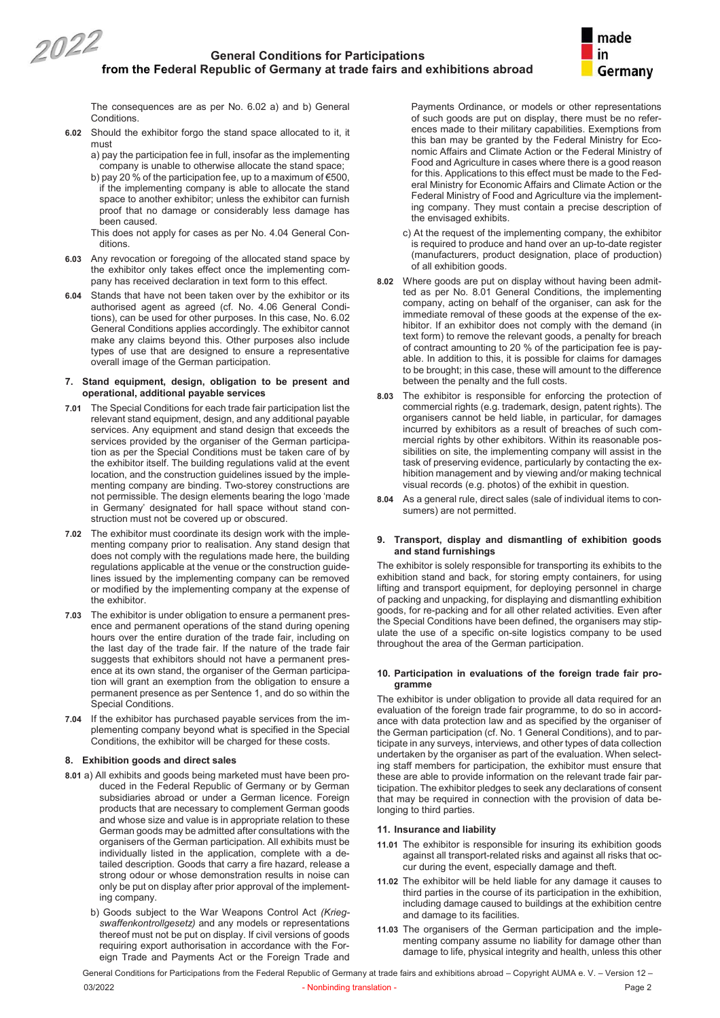2022



The consequences are as per No. 6.02 a) and b) General Conditions.

- **6.02** Should the exhibitor forgo the stand space allocated to it, it must
	- a) pay the participation fee in full, insofar as the implementing company is unable to otherwise allocate the stand space;
	- b) pay 20 % of the participation fee, up to a maximum of  $\epsilon$ 500, if the implementing company is able to allocate the stand space to another exhibitor; unless the exhibitor can furnish proof that no damage or considerably less damage has been caused.
	- This does not apply for cases as per No. 4.04 General Conditions.
- **6.03** Any revocation or foregoing of the allocated stand space by the exhibitor only takes effect once the implementing company has received declaration in text form to this effect.
- **6.04** Stands that have not been taken over by the exhibitor or its authorised agent as agreed (cf. No. 4.06 General Conditions), can be used for other purposes. In this case, No. 6.02 General Conditions applies accordingly. The exhibitor cannot make any claims beyond this. Other purposes also include types of use that are designed to ensure a representative overall image of the German participation.

#### **7. Stand equipment, design, obligation to be present and operational, additional payable services**

- **7.01** The Special Conditions for each trade fair participation list the relevant stand equipment, design, and any additional payable services. Any equipment and stand design that exceeds the services provided by the organiser of the German participation as per the Special Conditions must be taken care of by the exhibitor itself. The building regulations valid at the event location, and the construction guidelines issued by the implementing company are binding. Two-storey constructions are not permissible. The design elements bearing the logo 'made in Germany' designated for hall space without stand construction must not be covered up or obscured.
- **7.02** The exhibitor must coordinate its design work with the implementing company prior to realisation. Any stand design that does not comply with the regulations made here, the building regulations applicable at the venue or the construction guidelines issued by the implementing company can be removed or modified by the implementing company at the expense of the exhibitor.
- **7.03** The exhibitor is under obligation to ensure a permanent presence and permanent operations of the stand during opening hours over the entire duration of the trade fair, including on the last day of the trade fair. If the nature of the trade fair suggests that exhibitors should not have a permanent presence at its own stand, the organiser of the German participation will grant an exemption from the obligation to ensure a permanent presence as per Sentence 1, and do so within the Special Conditions.
- **7.04** If the exhibitor has purchased payable services from the implementing company beyond what is specified in the Special Conditions, the exhibitor will be charged for these costs.

#### **8. Exhibition goods and direct sales**

- **8.01** a) All exhibits and goods being marketed must have been produced in the Federal Republic of Germany or by German subsidiaries abroad or under a German licence. Foreign products that are necessary to complement German goods and whose size and value is in appropriate relation to these German goods may be admitted after consultations with the organisers of the German participation. All exhibits must be individually listed in the application, complete with a detailed description. Goods that carry a fire hazard, release a strong odour or whose demonstration results in noise can only be put on display after prior approval of the implementing company.
	- b) Goods subject to the War Weapons Control Act *(Kriegswaffenkontrollgesetz)* and any models or representations thereof must not be put on display. If civil versions of goods requiring export authorisation in accordance with the Foreign Trade and Payments Act or the Foreign Trade and

Payments Ordinance, or models or other representations of such goods are put on display, there must be no references made to their military capabilities. Exemptions from this ban may be granted by the Federal Ministry for Economic Affairs and Climate Action or the Federal Ministry of Food and Agriculture in cases where there is a good reason for this. Applications to this effect must be made to the Federal Ministry for Economic Affairs and Climate Action or the Federal Ministry of Food and Agriculture via the implementing company. They must contain a precise description of the envisaged exhibits.

- c) At the request of the implementing company, the exhibitor is required to produce and hand over an up-to-date register (manufacturers, product designation, place of production) of all exhibition goods.
- **8.02** Where goods are put on display without having been admitted as per No. 8.01 General Conditions, the implementing company, acting on behalf of the organiser, can ask for the immediate removal of these goods at the expense of the exhibitor. If an exhibitor does not comply with the demand (in text form) to remove the relevant goods, a penalty for breach of contract amounting to 20 % of the participation fee is payable. In addition to this, it is possible for claims for damages to be brought; in this case, these will amount to the difference between the penalty and the full costs.
- **8.03** The exhibitor is responsible for enforcing the protection of commercial rights (e.g. trademark, design, patent rights). The organisers cannot be held liable, in particular, for damages incurred by exhibitors as a result of breaches of such commercial rights by other exhibitors. Within its reasonable possibilities on site, the implementing company will assist in the task of preserving evidence, particularly by contacting the exhibition management and by viewing and/or making technical visual records (e.g. photos) of the exhibit in question.
- **8.04** As a general rule, direct sales (sale of individual items to consumers) are not permitted.

#### **9. Transport, display and dismantling of exhibition goods and stand furnishings**

The exhibitor is solely responsible for transporting its exhibits to the exhibition stand and back, for storing empty containers, for using lifting and transport equipment, for deploying personnel in charge of packing and unpacking, for displaying and dismantling exhibition goods, for re-packing and for all other related activities. Even after the Special Conditions have been defined, the organisers may stipulate the use of a specific on-site logistics company to be used throughout the area of the German participation.

#### **10. Participation in evaluations of the foreign trade fair programme**

The exhibitor is under obligation to provide all data required for an evaluation of the foreign trade fair programme, to do so in accordance with data protection law and as specified by the organiser of the German participation (cf. No. 1 General Conditions), and to participate in any surveys, interviews, and other types of data collection undertaken by the organiser as part of the evaluation. When selecting staff members for participation, the exhibitor must ensure that these are able to provide information on the relevant trade fair participation. The exhibitor pledges to seek any declarations of consent that may be required in connection with the provision of data belonging to third parties.

#### **11. Insurance and liability**

- **11.01** The exhibitor is responsible for insuring its exhibition goods against all transport-related risks and against all risks that occur during the event, especially damage and theft.
- **11.02** The exhibitor will be held liable for any damage it causes to third parties in the course of its participation in the exhibition, including damage caused to buildings at the exhibition centre and damage to its facilities.
- **11.03** The organisers of the German participation and the implementing company assume no liability for damage other than damage to life, physical integrity and health, unless this other

General Conditions for Participations from the Federal Republic of Germany at trade fairs and exhibitions abroad – Copyright AUMA e. V. – Version 12 –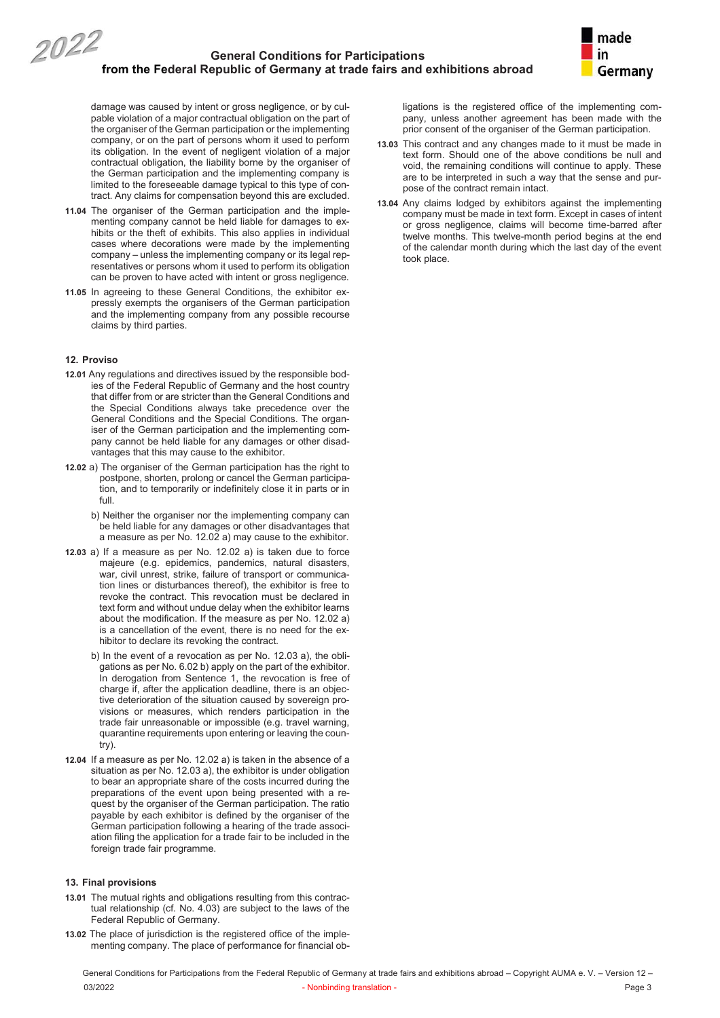

damage was caused by intent or gross negligence, or by culpable violation of a major contractual obligation on the part of the organiser of the German participation or the implementing company, or on the part of persons whom it used to perform its obligation. In the event of negligent violation of a major contractual obligation, the liability borne by the organiser of the German participation and the implementing company is limited to the foreseeable damage typical to this type of contract. Any claims for compensation beyond this are excluded.

- **11.04** The organiser of the German participation and the implementing company cannot be held liable for damages to exhibits or the theft of exhibits. This also applies in individual cases where decorations were made by the implementing company – unless the implementing company or its legal representatives or persons whom it used to perform its obligation can be proven to have acted with intent or gross negligence.
- **11.05** In agreeing to these General Conditions, the exhibitor expressly exempts the organisers of the German participation and the implementing company from any possible recourse claims by third parties.

#### **12. Proviso**

- **12.01** Any regulations and directives issued by the responsible bodies of the Federal Republic of Germany and the host country that differ from or are stricter than the General Conditions and the Special Conditions always take precedence over the General Conditions and the Special Conditions. The organiser of the German participation and the implementing company cannot be held liable for any damages or other disadvantages that this may cause to the exhibitor.
- **12.02** a) The organiser of the German participation has the right to postpone, shorten, prolong or cancel the German participation, and to temporarily or indefinitely close it in parts or in full.
	- b) Neither the organiser nor the implementing company can be held liable for any damages or other disadvantages that a measure as per No. 12.02 a) may cause to the exhibitor.
- **12.03** a) If a measure as per No. 12.02 a) is taken due to force majeure (e.g. epidemics, pandemics, natural disasters, war, civil unrest, strike, failure of transport or communication lines or disturbances thereof), the exhibitor is free to revoke the contract. This revocation must be declared in text form and without undue delay when the exhibitor learns about the modification. If the measure as per No. 12.02 a) is a cancellation of the event, there is no need for the exhibitor to declare its revoking the contract.
	- b) In the event of a revocation as per No. 12.03 a), the obligations as per No. 6.02 b) apply on the part of the exhibitor. In derogation from Sentence 1, the revocation is free of charge if, after the application deadline, there is an objective deterioration of the situation caused by sovereign provisions or measures, which renders participation in the trade fair unreasonable or impossible (e.g. travel warning, quarantine requirements upon entering or leaving the country).
- **12.04** If a measure as per No. 12.02 a) is taken in the absence of a situation as per No. 12.03 a), the exhibitor is under obligation to bear an appropriate share of the costs incurred during the preparations of the event upon being presented with a request by the organiser of the German participation. The ratio payable by each exhibitor is defined by the organiser of the German participation following a hearing of the trade association filing the application for a trade fair to be included in the foreign trade fair programme.

### **13. Final provisions**

- **13.01** The mutual rights and obligations resulting from this contractual relationship (cf. No. 4.03) are subject to the laws of the Federal Republic of Germany.
- **13.02** The place of jurisdiction is the registered office of the implementing company. The place of performance for financial ob-

ligations is the registered office of the implementing company, unless another agreement has been made with the prior consent of the organiser of the German participation.

- **13.03** This contract and any changes made to it must be made in text form. Should one of the above conditions be null and void, the remaining conditions will continue to apply. These are to be interpreted in such a way that the sense and purpose of the contract remain intact.
- **13.04** Any claims lodged by exhibitors against the implementing company must be made in text form. Except in cases of intent or gross negligence, claims will become time-barred after twelve months. This twelve-month period begins at the end of the calendar month during which the last day of the event took place.

General Conditions for Participations from the Federal Republic of Germany at trade fairs and exhibitions abroad – Copyright AUMA e. V. – Version 12 – 03/2022 Page 3 Page 3 Page 3 Page 3 Page 3 Page 3 Page 3 Page 3 Page 3 Page 3 Page 3 Page 3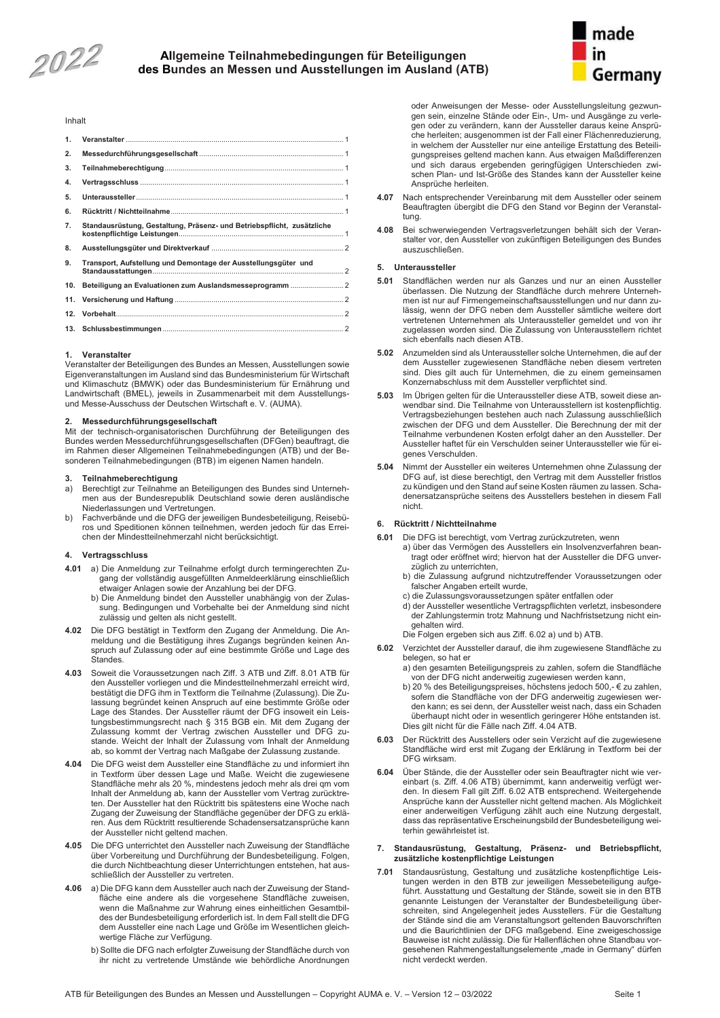2022

## **Allgemeine Teilnahmebedingungen für Beteiligungen Al des Bundes an Messen und Ausstellungen im Ausland (ATB) Bu**



#### Inhalt

| 1.  |                                                                        |
|-----|------------------------------------------------------------------------|
|     |                                                                        |
| 2.  |                                                                        |
| 3.  |                                                                        |
| 4.  |                                                                        |
| 5.  |                                                                        |
| 6.  |                                                                        |
| 7.  | Standausrüstung, Gestaltung, Präsenz- und Betriebspflicht, zusätzliche |
| 8.  |                                                                        |
| 9.  | Transport, Aufstellung und Demontage der Ausstellungsgüter und         |
| 10. |                                                                        |
| 11. |                                                                        |
| 12. |                                                                        |
|     |                                                                        |
|     |                                                                        |

#### **1. Veranstalter**

Veranstalter der Beteiligungen des Bundes an Messen, Ausstellungen sowie Eigenveranstaltungen im Ausland sind das Bundesministerium für Wirtschaft und Klimaschutz (BMWK) oder das Bundesministerium für Ernährung und Landwirtschaft (BMEL), jeweils in Zusammenarbeit mit dem Ausstellungsund Messe-Ausschuss der Deutschen Wirtschaft e. V. (AUMA).

#### **2. Messedurchführungsgesellschaft**

Mit der technisch-organisatorischen Durchführung der Beteiligungen des Bundes werden Messedurchführungsgesellschaften (DFGen) beauftragt, die im Rahmen dieser Allgemeinen Teilnahmebedingungen (ATB) und der Besonderen Teilnahmebedingungen (BTB) im eigenen Namen handeln.

#### **3. Teilnahmeberechtigung**

- a) Berechtigt zur Teilnahme an Beteiligungen des Bundes sind Unternehmen aus der Bundesrepublik Deutschland sowie deren ausländische Niederlassungen und Vertretungen.
- b) Fachverbände und die DFG der jeweiligen Bundesbeteiligung, Reisebüros und Speditionen können teilnehmen, werden jedoch für das Erreichen der Mindestteilnehmerzahl nicht berücksichtigt.

#### **4. Vertragsschluss**

- **4.01** a) Die Anmeldung zur Teilnahme erfolgt durch termingerechten Zugang der vollständig ausgefüllten Anmeldeerklärung einschließlich etwaiger Anlagen sowie der Anzahlung bei der DFG.
	- b) Die Anmeldung bindet den Aussteller unabhängig von der Zulassung. Bedingungen und Vorbehalte bei der Anmeldung sind nicht zulässig und gelten als nicht gestellt.
- **4.02** Die DFG bestätigt in Textform den Zugang der Anmeldung. Die Anmeldung und die Bestätigung ihres Zugangs begründen keinen Anspruch auf Zulassung oder auf eine bestimmte Größe und Lage des **Standes**
- **4.03** Soweit die Voraussetzungen nach Ziff. 3 ATB und Ziff. 8.01 ATB für den Aussteller vorliegen und die Mindestteilnehmerzahl erreicht wird, bestätigt die DFG ihm in Textform die Teilnahme (Zulassung). Die Zulassung begründet keinen Anspruch auf eine bestimmte Größe oder Lage des Standes. Der Aussteller räumt der DFG insoweit ein Leistungsbestimmungsrecht nach § 315 BGB ein. Mit dem Zugang der Zulassung kommt der Vertrag zwischen Aussteller und DFG zustande. Weicht der Inhalt der Zulassung vom Inhalt der Anmeldung ab, so kommt der Vertrag nach Maßgabe der Zulassung zustande.
- **4.04** Die DFG weist dem Aussteller eine Standfläche zu und informiert ihn in Textform über dessen Lage und Maße. Weicht die zugewiesene Standfläche mehr als 20 %, mindestens jedoch mehr als drei qm vom Inhalt der Anmeldung ab, kann der Aussteller vom Vertrag zurücktreten. Der Aussteller hat den Rücktritt bis spätestens eine Woche nach Zugang der Zuweisung der Standfläche gegenüber der DFG zu erklären. Aus dem Rücktritt resultierende Schadensersatzansprüche kann der Aussteller nicht geltend machen.
- **4.05** Die DFG unterrichtet den Aussteller nach Zuweisung der Standfläche über Vorbereitung und Durchführung der Bundesbeteiligung. Folgen, die durch Nichtbeachtung dieser Unterrichtungen entstehen, hat ausschließlich der Aussteller zu vertreten.
- **4.06** a) Die DFG kann dem Aussteller auch nach der Zuweisung der Standfläche eine andere als die vorgesehene Standfläche zuweisen, wenn die Maßnahme zur Wahrung eines einheitlichen Gesamtbildes der Bundesbeteiligung erforderlich ist. In dem Fall stellt die DFG dem Aussteller eine nach Lage und Größe im Wesentlichen gleichwertige Fläche zur Verfügung.
	- b) Sollte die DFG nach erfolgter Zuweisung der Standfläche durch von ihr nicht zu vertretende Umstände wie behördliche Anordnungen

oder Anweisungen der Messe- oder Ausstellungsleitung gezwungen sein, einzelne Stände oder Ein-, Um- und Ausgänge zu verlegen oder zu verändern, kann der Aussteller daraus keine Ansprüche herleiten; ausgenommen ist der Fall einer Flächenreduzierung, in welchem der Aussteller nur eine anteilige Erstattung des Beteiligungspreises geltend machen kann. Aus etwaigen Maßdifferenzen und sich daraus ergebenden geringfügigen Unterschieden zwischen Plan- und Ist-Größe des Standes kann der Aussteller keine Ansprüche herleiten.

- **4.07** Nach entsprechender Vereinbarung mit dem Aussteller oder seinem Beauftragten übergibt die DFG den Stand vor Beginn der Veranstaltung.
- **4**.**08** Bei schwerwiegenden Vertragsverletzungen behält sich der Veranstalter vor, den Aussteller von zukünftigen Beteiligungen des Bundes auszuschließen.

#### **5. Unteraussteller**

- **5.01** Standflächen werden nur als Ganzes und nur an einen Aussteller überlassen. Die Nutzung der Standfläche durch mehrere Unternehmen ist nur auf Firmengemeinschaftsausstellungen und nur dann zulässig, wenn der DFG neben dem Aussteller sämtliche weitere dort vertretenen Unternehmen als Unteraussteller gemeldet und von ihr zugelassen worden sind. Die Zulassung von Unterausstellern richtet sich ebenfalls nach diesen ATB.
- **5.02** Anzumelden sind als Unteraussteller solche Unternehmen, die auf der dem Aussteller zugewiesenen Standfläche neben diesem vertreten sind. Dies gilt auch für Unternehmen, die zu einem gemeinsamen Konzernabschluss mit dem Aussteller verpflichtet sind.
- **5.03** Im Übrigen gelten für die Unteraussteller diese ATB, soweit diese anwendbar sind. Die Teilnahme von Unterausstellern ist kostenpflichtig. Vertragsbeziehungen bestehen auch nach Zulassung ausschließlich zwischen der DFG und dem Aussteller. Die Berechnung der mit der Teilnahme verbundenen Kosten erfolgt daher an den Aussteller. Der Aussteller haftet für ein Verschulden seiner Unteraussteller wie für eigenes Verschulden.
- **5.04** Nimmt der Aussteller ein weiteres Unternehmen ohne Zulassung der DFG auf, ist diese berechtigt, den Vertrag mit dem Aussteller fristlos zu kündigen und den Stand auf seine Kosten räumen zu lassen. Schadenersatzansprüche seitens des Ausstellers bestehen in diesem Fall nicht.

#### **6. Rücktritt / Nichtteilnahme**

- **6.01** Die DFG ist berechtigt, vom Vertrag zurückzutreten, wenn
	- a) über das Vermögen des Ausstellers ein Insolvenzverfahren beantragt oder eröffnet wird; hiervon hat der Aussteller die DFG unverzüglich zu unterrichten,
	- b) die Zulassung aufgrund nichtzutreffender Voraussetzungen oder falscher Angaben erteilt wurde,
	- c) die Zulassungsvoraussetzungen später entfallen oder
	- d) der Aussteller wesentliche Vertragspflichten verletzt, insbesondere der Zahlungstermin trotz Mahnung und Nachfristsetzung nicht eingehalten wird.
	- Die Folgen ergeben sich aus Ziff. 6.02 a) und b) ATB.
- **6.02** Verzichtet der Aussteller darauf, die ihm zugewiesene Standfläche zu belegen, so hat er
	- a) den gesamten Beteiligungspreis zu zahlen, sofern die Standfläche von der DFG nicht anderweitig zugewiesen werden kann,
	- b) 20 % des Beteiligungspreises, höchstens jedoch 500,- € zu zahlen, sofern die Standfläche von der DFG anderweitig zugewiesen werden kann; es sei denn, der Aussteller weist nach, dass ein Schaden überhaupt nicht oder in wesentlich geringerer Höhe entstanden ist. Dies gilt nicht für die Fälle nach Ziff. 4.04 ATB.
- **6.03** Der Rücktritt des Ausstellers oder sein Verzicht auf die zugewiesene Standfläche wird erst mit Zugang der Erklärung in Textform bei der DFG wirksam.
- **6.04** Über Stände, die der Aussteller oder sein Beauftragter nicht wie vereinbart (s. Ziff. 4.06 ATB) übernimmt, kann anderweitig verfügt werden. In diesem Fall gilt Ziff. 6.02 ATB entsprechend. Weitergehende Ansprüche kann der Aussteller nicht geltend machen. Als Möglichkeit einer anderweitigen Verfügung zählt auch eine Nutzung dergestalt, dass das repräsentative Erscheinungsbild der Bundesbeteiligung weiterhin gewährleistet ist.

#### **7. Standausrüstung, Gestaltung, Präsenz- und Betriebspflicht, zusätzliche kostenpflichtige Leistungen**

**7.01** Standausrüstung, Gestaltung und zusätzliche kostenpflichtige Leistungen werden in den BTB zur jeweiligen Messebeteiligung aufgeführt. Ausstattung und Gestaltung der Stände, soweit sie in den BTB genannte Leistungen der Veranstalter der Bundesbeteiligung überschreiten, sind Angelegenheit jedes Ausstellers. Für die Gestaltung der Stände sind die am Veranstaltungsort geltenden Bauvorschriften und die Baurichtlinien der DFG maßgebend. Eine zweigeschossige Bauweise ist nicht zulässig. Die für Hallenflächen ohne Standbau vorgesehenen Rahmengestaltungselemente "made in Germany" dürfen nicht verdeckt werden.